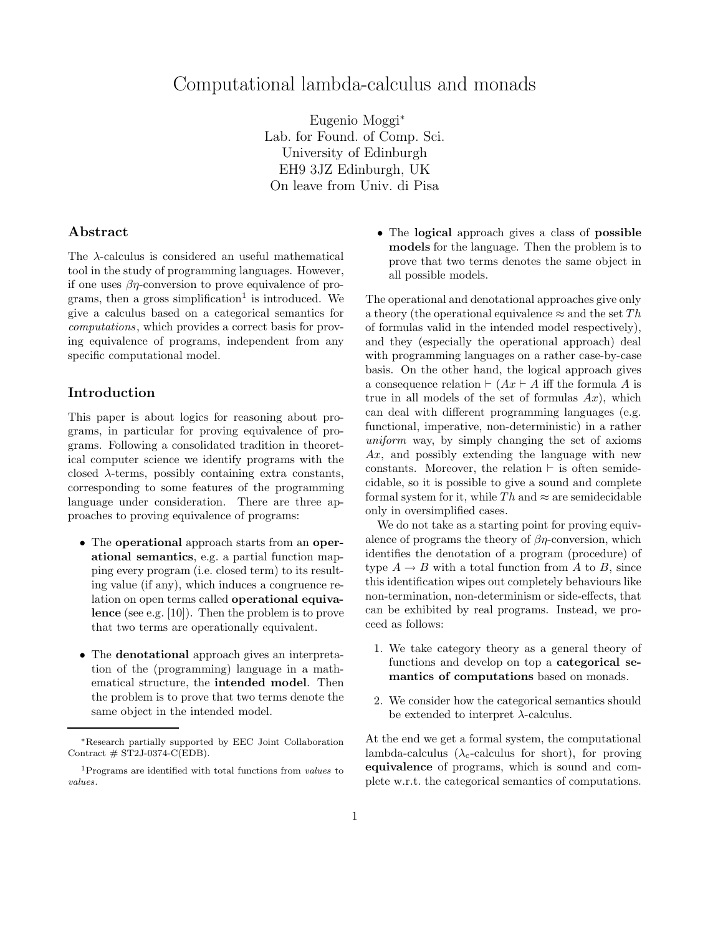# Computational lambda-calculus and monads

Eugenio Moggi<sup>∗</sup> Lab. for Found. of Comp. Sci. University of Edinburgh EH9 3JZ Edinburgh, UK On leave from Univ. di Pisa

### Abstract

The λ-calculus is considered an useful mathematical tool in the study of programming languages. However, if one uses  $\beta\eta$ -conversion to prove equivalence of programs, then a gross simplification<sup>1</sup> is introduced. We give a calculus based on a categorical semantics for computations, which provides a correct basis for proving equivalence of programs, independent from any specific computational model.

#### Introduction

This paper is about logics for reasoning about programs, in particular for proving equivalence of programs. Following a consolidated tradition in theoretical computer science we identify programs with the closed  $\lambda$ -terms, possibly containing extra constants, corresponding to some features of the programming language under consideration. There are three approaches to proving equivalence of programs:

- The **operational** approach starts from an **oper**ational semantics, e.g. a partial function mapping every program (i.e. closed term) to its resulting value (if any), which induces a congruence relation on open terms called operational equivalence (see e.g. [10]). Then the problem is to prove that two terms are operationally equivalent.
- The denotational approach gives an interpretation of the (programming) language in a mathematical structure, the intended model. Then the problem is to prove that two terms denote the same object in the intended model.

• The logical approach gives a class of possible models for the language. Then the problem is to prove that two terms denotes the same object in all possible models.

The operational and denotational approaches give only a theory (the operational equivalence  $\approx$  and the set Th of formulas valid in the intended model respectively), and they (especially the operational approach) deal with programming languages on a rather case-by-case basis. On the other hand, the logical approach gives a consequence relation  $\vdash (Ax \vdash A \text{ iff the formula } A \text{ is }$ true in all models of the set of formulas  $Ax$ ), which can deal with different programming languages (e.g. functional, imperative, non-deterministic) in a rather uniform way, by simply changing the set of axioms Ax, and possibly extending the language with new constants. Moreover, the relation  $\vdash$  is often semidecidable, so it is possible to give a sound and complete formal system for it, while  $Th$  and  $\approx$  are semidecidable only in oversimplified cases.

We do not take as a starting point for proving equivalence of programs the theory of  $\beta\eta$ -conversion, which identifies the denotation of a program (procedure) of type  $A \rightarrow B$  with a total function from A to B, since this identification wipes out completely behaviours like non-termination, non-determinism or side-effects, that can be exhibited by real programs. Instead, we proceed as follows:

- 1. We take category theory as a general theory of functions and develop on top a categorical semantics of computations based on monads.
- 2. We consider how the categorical semantics should be extended to interpret  $\lambda$ -calculus.

At the end we get a formal system, the computational lambda-calculus ( $\lambda_c$ -calculus for short), for proving equivalence of programs, which is sound and complete w.r.t. the categorical semantics of computations.

<sup>∗</sup>Research partially supported by EEC Joint Collaboration Contract  $# ST2J-0374-C(EDB).$ 

<sup>&</sup>lt;sup>1</sup>Programs are identified with total functions from *values* to values.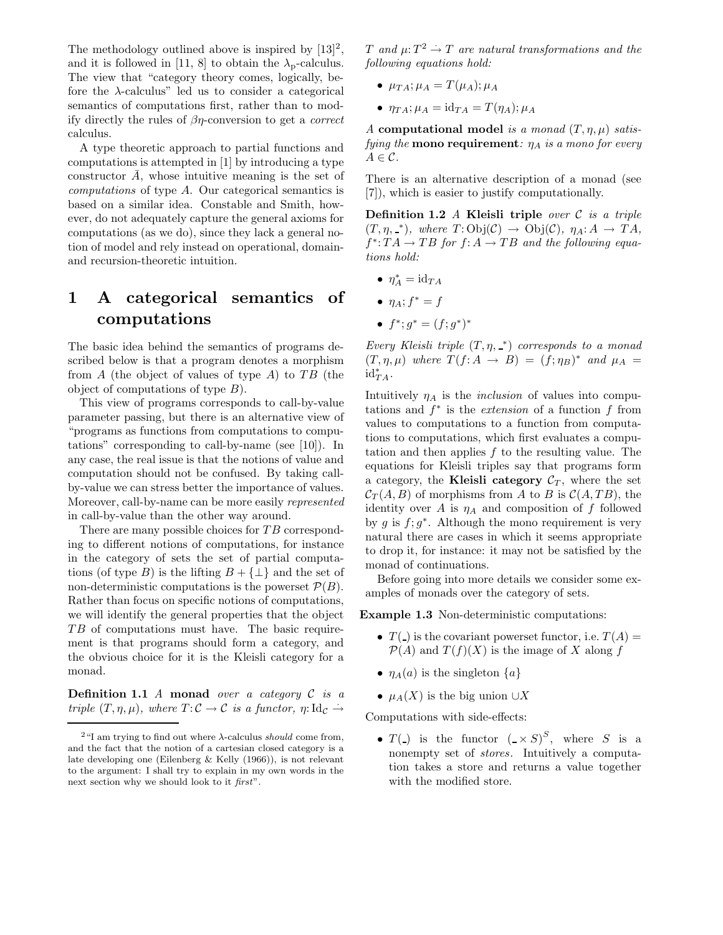The methodology outlined above is inspired by  $[13]^2$ , and it is followed in [11, 8] to obtain the  $\lambda_{p}$ -calculus. The view that "category theory comes, logically, before the  $\lambda$ -calculus" led us to consider a categorical semantics of computations first, rather than to modify directly the rules of  $\beta\eta$ -conversion to get a *correct* calculus.

A type theoretic approach to partial functions and computations is attempted in [1] by introducing a type constructor  $A$ , whose intuitive meaning is the set of computations of type A. Our categorical semantics is based on a similar idea. Constable and Smith, however, do not adequately capture the general axioms for computations (as we do), since they lack a general notion of model and rely instead on operational, domainand recursion-theoretic intuition.

# 1 A categorical semantics of computations

The basic idea behind the semantics of programs described below is that a program denotes a morphism from  $A$  (the object of values of type  $A$ ) to  $TB$  (the object of computations of type  $B$ ).

This view of programs corresponds to call-by-value parameter passing, but there is an alternative view of "programs as functions from computations to computations" corresponding to call-by-name (see [10]). In any case, the real issue is that the notions of value and computation should not be confused. By taking callby-value we can stress better the importance of values. Moreover, call-by-name can be more easily represented in call-by-value than the other way around.

There are many possible choices for TB corresponding to different notions of computations, for instance in the category of sets the set of partial computations (of type B) is the lifting  $B + {\perp}$  and the set of non-deterministic computations is the powerset  $\mathcal{P}(B)$ . Rather than focus on specific notions of computations, we will identify the general properties that the object TB of computations must have. The basic requirement is that programs should form a category, and the obvious choice for it is the Kleisli category for a monad.

**Definition 1.1** A monad over a category  $C$  is a triple  $(T, \eta, \mu)$ , where  $T: \mathcal{C} \to \mathcal{C}$  is a functor,  $\eta: \mathrm{Id}_{\mathcal{C}} \to$ 

T and  $\mu$ :  $T^2 \rightarrow T$  are natural transformations and the following equations hold:

- $\mu_{TA}$ ;  $\mu_A = T(\mu_A)$ ;  $\mu_A$
- $\eta_{TA}$ ;  $\mu_A = \text{id}_{TA} = T(\eta_A)$ ;  $\mu_A$

A computational model is a monad  $(T, \eta, \mu)$  satisfying the **mono requirement**:  $\eta_A$  is a mono for every  $A \in \mathcal{C}$ .

There is an alternative description of a monad (see [7]), which is easier to justify computationally.

Definition 1.2  $\Lambda$  Kleisli triple over  $\mathcal C$  is a triple  $(T, \eta, \_*)$ , where  $T:Obj(\mathcal{C}) \to Obj(\mathcal{C})$ ,  $\eta_A: A \to TA$ ,  $f^* : TA \to TB$  for  $f: A \to TB$  and the following equations hold:

- $\eta_A^* = \mathrm{id}_{TA}$
- $\eta_A$ ;  $f^* = f$
- $f^*; g^* = (f; g^*)^*$

Every Kleisli triple  $(T, \eta, \underline{\ }^*)$  corresponds to a monad  $(T, \eta, \mu)$  where  $T(f: A \rightarrow B) = (f: \eta_B)^*$  and  $\mu_A =$  $\mathrm{id}_{TA}^*$ .

Intuitively  $\eta_A$  is the *inclusion* of values into computations and  $f^*$  is the *extension* of a function  $f$  from values to computations to a function from computations to computations, which first evaluates a computation and then applies f to the resulting value. The equations for Kleisli triples say that programs form a category, the **Kleisli category**  $\mathcal{C}_T$ , where the set  $C_T(A, B)$  of morphisms from A to B is  $C(A, TB)$ , the identity over A is  $\eta_A$  and composition of f followed by g is  $f$ ;  $g^*$ . Although the mono requirement is very natural there are cases in which it seems appropriate to drop it, for instance: it may not be satisfied by the monad of continuations.

Before going into more details we consider some examples of monads over the category of sets.

Example 1.3 Non-deterministic computations:

- $T(\_)$  is the covariant powerset functor, i.e.  $T(A) =$  $\mathcal{P}(A)$  and  $T(f)(X)$  is the image of X along f
- $\eta_A(a)$  is the singleton  $\{a\}$
- $\mu_A(X)$  is the big union  $\cup X$

Computations with side-effects:

•  $T(\_)$  is the functor  $(\_ \times S)^S$ , where S is a nonempty set of stores. Intuitively a computation takes a store and returns a value together with the modified store.

<sup>&</sup>lt;sup>2</sup>"I am trying to find out where  $λ$ -calculus should come from, and the fact that the notion of a cartesian closed category is a late developing one (Eilenberg & Kelly (1966)), is not relevant to the argument: I shall try to explain in my own words in the next section why we should look to it first".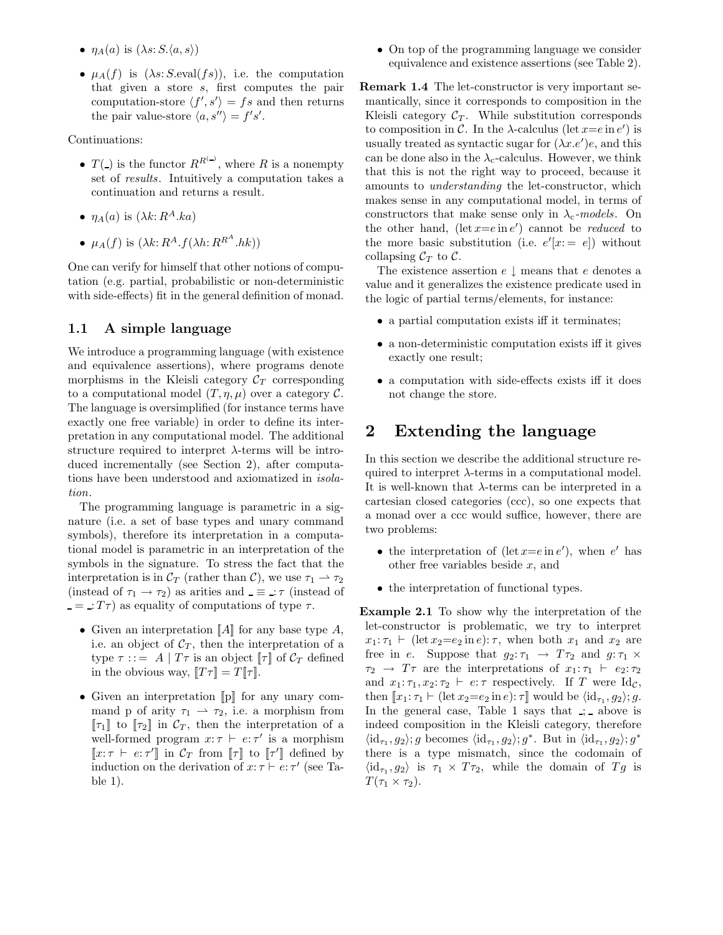- $\eta_A(a)$  is  $(\lambda s: S, \langle a, s \rangle)$
- $\mu_A(f)$  is  $(\lambda s: S.\text{eval}(fs))$ , i.e. the computation that given a store s, first computes the pair computation-store  $\langle f', s' \rangle = fs$  and then returns the pair value-store  $\langle a, s'' \rangle = f's'.$

Continuations:

- $T(\_)$  is the functor  $R^{R^{(-)}}$ , where R is a nonempty set of results. Intuitively a computation takes a continuation and returns a result.
- $\eta_A(a)$  is  $(\lambda k: R^A.ka)$
- $\mu_A(f)$  is  $(\lambda k: R^A.f(\lambda h: R^{R^A}.hk))$

One can verify for himself that other notions of computation (e.g. partial, probabilistic or non-deterministic with side-effects) fit in the general definition of monad.

### 1.1 A simple language

We introduce a programming language (with existence and equivalence assertions), where programs denote morphisms in the Kleisli category  $C_T$  corresponding to a computational model  $(T, \eta, \mu)$  over a category C. The language is oversimplified (for instance terms have exactly one free variable) in order to define its interpretation in any computational model. The additional structure required to interpret  $\lambda$ -terms will be introduced incrementally (see Section 2), after computations have been understood and axiomatized in isolation.

The programming language is parametric in a signature (i.e. a set of base types and unary command symbols), therefore its interpretation in a computational model is parametric in an interpretation of the symbols in the signature. To stress the fact that the interpretation is in  $\mathcal{C}_T$  (rather than  $\mathcal{C}$ ), we use  $\tau_1 \rightarrow \tau_2$ (instead of  $\tau_1 \rightarrow \tau_2$ ) as arities and  $\equiv \tau$  (instead of  $=$  :  $T\tau$ ) as equality of computations of type  $\tau$ .

- Given an interpretation  $\llbracket A \rrbracket$  for any base type  $A$ , i.e. an object of  $\mathcal{C}_T$ , then the interpretation of a type  $\tau$  ::= A |  $T\tau$  is an object  $\llbracket \tau \rrbracket$  of  $\mathcal{C}_T$  defined in the obvious way,  $||T\tau|| = T||\tau||$ .
- Given an interpretation  $[\![p]\!]$  for any unary command p of arity  $\tau_1 \rightarrow \tau_2$ , i.e. a morphism from  $[\![\tau_1]\!]$  to  $[\![\tau_2]\!]$  in  $\mathcal{C}_T$ , then the interpretation of a well-formed program  $x: \tau \vdash e: \tau'$  is a morphism  $\llbracket x : \tau \vdash e : \tau' \rrbracket$  in  $\mathcal{C}_T$  from  $\llbracket \tau \rrbracket$  to  $\llbracket \tau' \rrbracket$  defined by induction on the derivation of  $x: \tau \vdash e: \tau'$  (see Table 1).

• On top of the programming language we consider equivalence and existence assertions (see Table 2).

Remark 1.4 The let-constructor is very important semantically, since it corresponds to composition in the Kleisli category  $C_T$ . While substitution corresponds to composition in C. In the  $\lambda$ -calculus (let  $x=e$  in  $e'$ ) is usually treated as syntactic sugar for  $(\lambda x.e')e$ , and this can be done also in the  $\lambda_c$ -calculus. However, we think that this is not the right way to proceed, because it amounts to understanding the let-constructor, which makes sense in any computational model, in terms of constructors that make sense only in  $\lambda_c$ -models. On the other hand,  $(\text{let } x = e \text{ in } e')$  cannot be *reduced* to the more basic substitution (i.e.  $e'[x := e]$ ) without collapsing  $\mathcal{C}_T$  to  $\mathcal{C}$ .

The existence assertion  $e \downarrow$  means that e denotes a value and it generalizes the existence predicate used in the logic of partial terms/elements, for instance:

- a partial computation exists iff it terminates;
- a non-deterministic computation exists iff it gives exactly one result;
- a computation with side-effects exists iff it does not change the store.

## 2 Extending the language

In this section we describe the additional structure required to interpret  $\lambda$ -terms in a computational model. It is well-known that  $\lambda$ -terms can be interpreted in a cartesian closed categories (ccc), so one expects that a monad over a ccc would suffice, however, there are two problems:

- the interpretation of (let  $x=e$  in  $e'$ ), when  $e'$  has other free variables beside  $x$ , and
- the interpretation of functional types.

Example 2.1 To show why the interpretation of the let-constructor is problematic, we try to interpret  $x_1: \tau_1 \vdash (\text{let } x_2 = e_2 \text{ in } e): \tau$ , when both  $x_1$  and  $x_2$  are free in e. Suppose that  $g_2: \tau_1 \rightarrow T\tau_2$  and  $g: \tau_1 \times$  $\tau_2 \rightarrow T\tau$  are the interpretations of  $x_1 : \tau_1 \vdash e_2 : \tau_2$ and  $x_1: \tau_1, x_2: \tau_2 \vdash e: \tau$  respectively. If T were Id<sub>C</sub>, then  $[x_1:\tau_1 \vdash (\text{let } x_2=e_2 \text{ in } e):\tau]$  would be  $\langle id_{\tau_1}, g_2 \rangle; g$ . In the general case, Table 1 says that  $\therefore$  above is indeed composition in the Kleisli category, therefore  $\langle \mathrm{id}_{\tau_1}, g_2 \rangle$ ; g becomes  $\langle \mathrm{id}_{\tau_1}, g_2 \rangle$ ; g<sup>\*</sup>. But in  $\langle \mathrm{id}_{\tau_1}, g_2 \rangle$ ; g<sup>\*</sup> there is a type mismatch, since the codomain of  $\langle \mathrm{id}_{\tau_1}, g_2 \rangle$  is  $\tau_1 \times T\tau_2$ , while the domain of  $Tg$  is  $T(\tau_1 \times \tau_2)$ .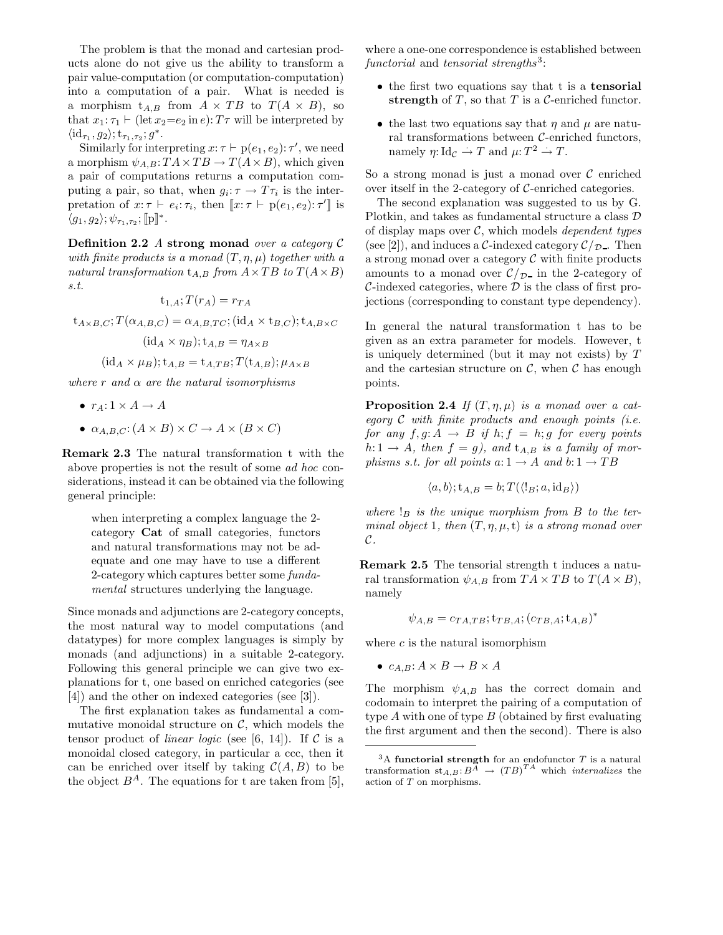The problem is that the monad and cartesian products alone do not give us the ability to transform a pair value-computation (or computation-computation) into a computation of a pair. What is needed is a morphism  $t_{A,B}$  from  $A \times TB$  to  $T(A \times B)$ , so that  $x_1$ :  $\tau_1 \vdash (\text{let } x_2 = e_2 \text{ in } e)$ :  $T\tau$  will be interpreted by  $\langle \mathrm{id}_{\tau_1}, g_2 \rangle; \mathrm{t}_{\tau_1, \tau_2}; g^*.$ 

Similarly for interpreting  $x: \tau \vdash p(e_1, e_2): \tau'$ , we need a morphism  $\psi_{A,B}$ :  $TA \times TB \rightarrow T(A \times B)$ , which given a pair of computations returns a computation computing a pair, so that, when  $g_i: \tau \to T\tau_i$  is the interpretation of  $x: \tau \vdash e_i : \tau_i$ , then  $\llbracket x: \tau \vdash p(e_1, e_2): \tau' \rrbracket$  is  $\langle g_1, g_2 \rangle; \psi_{\tau_1, \tau_2}; \llbracket \mathrm{p} \rrbracket^*.$ 

**Definition 2.2** A strong monad over a category  $\mathcal{C}$ with finite products is a monad  $(T, \eta, \mu)$  together with a natural transformation  $t_{A,B}$  from  $A \times TB$  to  $T(A \times B)$ s.t.

$$
t_{1,A};T(r_A)=r_{TA}
$$

 $t_{A\times B,C}$ ;  $T(\alpha_{A,B,C}) = \alpha_{A,B,TC}$ ;  $(id_A \times t_{B,C})$ ;  $t_{A,B\times C}$ 

$$
(\mathrm{id}_A \times \eta_B); \mathrm{t}_{A,B} = \eta_{A \times B}
$$

$$
(\mathrm{id}_A \times \mu_B); \mathrm{t}_{A,B} = \mathrm{t}_{A,TB}; T(\mathrm{t}_{A,B}); \mu_{A \times B}
$$

where r and  $\alpha$  are the natural isomorphisms

- $r_A: 1 \times A \rightarrow A$
- $\alpha_{A,B,C}$ :  $(A \times B) \times C \rightarrow A \times (B \times C)$

Remark 2.3 The natural transformation t with the above properties is not the result of some ad hoc considerations, instead it can be obtained via the following general principle:

> when interpreting a complex language the 2 category Cat of small categories, functors and natural transformations may not be adequate and one may have to use a different 2-category which captures better some fundamental structures underlying the language.

Since monads and adjunctions are 2-category concepts, the most natural way to model computations (and datatypes) for more complex languages is simply by monads (and adjunctions) in a suitable 2-category. Following this general principle we can give two explanations for t, one based on enriched categories (see [4]) and the other on indexed categories (see [3]).

The first explanation takes as fundamental a commutative monoidal structure on  $\mathcal{C}$ , which models the tensor product of *linear logic* (see [6, 14]). If  $\mathcal C$  is a monoidal closed category, in particular a ccc, then it can be enriched over itself by taking  $\mathcal{C}(A, B)$  to be the object  $B^A$ . The equations for t are taken from [5], where a one-one correspondence is established between  $\emph{functional}$  and tensorial strengths<sup>3</sup>:

- the first two equations say that t is a **tensorial** strength of  $T$ , so that  $T$  is a  $\mathcal{C}$ -enriched functor.
- the last two equations say that  $\eta$  and  $\mu$  are natural transformations between C-enriched functors, namely  $\eta: Id_{\mathcal{C}} \to T$  and  $\mu: T^2 \to T$ .

So a strong monad is just a monad over  $\mathcal C$  enriched over itself in the 2-category of C-enriched categories.

The second explanation was suggested to us by G. Plotkin, and takes as fundamental structure a class D of display maps over  $C$ , which models *dependent types* (see [2]), and induces a C-indexed category  $\mathcal{C}/_{\mathcal{D}}$ . Then a strong monad over a category  $C$  with finite products amounts to a monad over  $\mathcal{C}/\mathcal{D}$  in the 2-category of  $\mathcal{C}\text{-indexed categories, where } \mathcal{D}$  is the class of first projections (corresponding to constant type dependency).

In general the natural transformation t has to be given as an extra parameter for models. However, t is uniquely determined (but it may not exists) by T and the cartesian structure on  $\mathcal{C}$ , when  $\mathcal{C}$  has enough points.

**Proposition 2.4** If  $(T, \eta, \mu)$  is a monad over a category  $C$  with finite products and enough points (i.e. for any  $f, g: A \rightarrow B$  if  $h; f = h; g$  for every points  $h: 1 \rightarrow A$ , then  $f = g$ ), and  $t_{A,B}$  is a family of morphisms s.t. for all points  $a: 1 \rightarrow A$  and  $b: 1 \rightarrow TB$ 

$$
\langle a, b \rangle; t_{A,B} = b; T(\langle !_B; a, id_B \rangle)
$$

where  $\mathcal{L}_B$  is the unique morphism from  $B$  to the terminal object 1, then  $(T, \eta, \mu, t)$  is a strong monad over  $\mathcal{C}.$ 

Remark 2.5 The tensorial strength t induces a natural transformation  $\psi_{A,B}$  from  $TA \times TB$  to  $T(A \times B)$ , namely

$$
\psi_{A,B} = c_{TA,TB}; \mathbf{t}_{TB,A}; (c_{TB,A}; \mathbf{t}_{A,B})^*
$$

where  $c$  is the natural isomorphism

•  $c_{A,B}: A \times B \rightarrow B \times A$ 

The morphism  $\psi_{A,B}$  has the correct domain and codomain to interpret the pairing of a computation of type  $A$  with one of type  $B$  (obtained by first evaluating the first argument and then the second). There is also

 $3A$  functorial strength for an endofunctor  $T$  is a natural transformation  $st_{A,B}: B^{\overline{A}} \rightarrow (TB)^{TA}$  which *internalizes* the action of T on morphisms.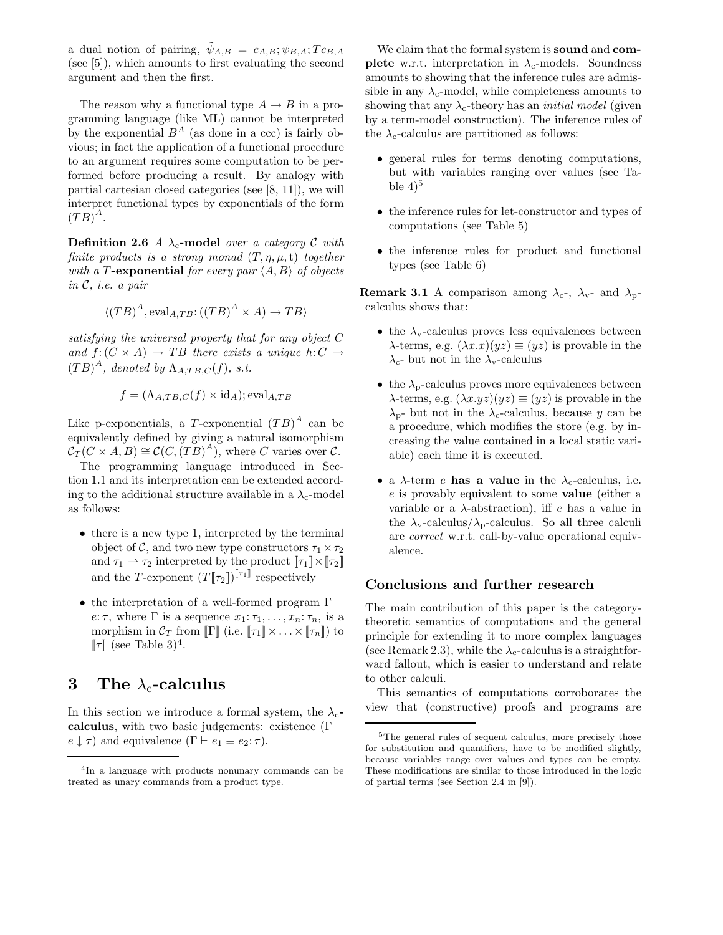a dual notion of pairing,  $\psi_{A,B} = c_{A,B}; \psi_{B,A}; T c_{B,A}$ (see [5]), which amounts to first evaluating the second argument and then the first.

The reason why a functional type  $A \to B$  in a programming language (like ML) cannot be interpreted by the exponential  $B^A$  (as done in a ccc) is fairly obvious; in fact the application of a functional procedure to an argument requires some computation to be performed before producing a result. By analogy with partial cartesian closed categories (see [8, 11]), we will interpret functional types by exponentials of the form  $(TB)^{\mathcal{A}}$ .

**Definition 2.6** A  $\lambda_c$ -model over a category C with finite products is a strong monad  $(T, \eta, \mu, t)$  together with a T-exponential for every pair  $\langle A, B \rangle$  of objects in C, i.e. a pair

$$
\langle (TB)^A, \mathrm{eval}_{A,TB} : ((TB)^A \times A) \to TB \rangle
$$

satisfying the universal property that for any object C and  $f: (C \times A) \rightarrow TB$  there exists a unique  $h: C \rightarrow$  $(TB)^A$ , denoted by  $\Lambda_{A, TB, C}(f)$ , s.t.

$$
f = (\Lambda_{A,TB,C}(f) \times id_A); \text{eval}_{A,TB}
$$

Like p-exponentials, a T-exponential  $(TB)^A$  can be equivalently defined by giving a natural isomorphism  $\mathcal{C}_T(C \times A, B) \cong \mathcal{C}(C, (TB)^A)$ , where C varies over C.

The programming language introduced in Section 1.1 and its interpretation can be extended according to the additional structure available in a  $\lambda_c$ -model as follows:

- there is a new type 1, interpreted by the terminal object of C, and two new type constructors  $\tau_1 \times \tau_2$ and  $\tau_1 \rightharpoonup \tau_2$  interpreted by the product  $[\![\tau_1]\!] \times [\![\tau_2]\!]$ and the T-exponent  $(T[\![\tau_2]\!])^{[\![\tau_1]\!]}$  respectively
- the interpretation of a well-formed program  $\Gamma \vdash$ e:  $\tau$ , where  $\Gamma$  is a sequence  $x_1:\tau_1,\ldots,x_n:\tau_n$ , is a morphism in  $\mathcal{C}_T$  from  $\llbracket \Gamma \rrbracket$  (i.e.  $\llbracket \tau_1 \rrbracket \times \ldots \times \llbracket \tau_n \rrbracket$ ) to  $[\![\tau]\!]$  (see Table 3)<sup>4</sup>.

# 3 The  $\lambda_c$ -calculus

In this section we introduce a formal system, the  $\lambda_c$ calculus, with two basic judgements: existence ( $\Gamma \vdash$  $e \downarrow \tau$  and equivalence  $(\Gamma \vdash e_1 \equiv e_2 : \tau)$ .

We claim that the formal system is **sound** and **complete** w.r.t. interpretation in  $\lambda_c$ -models. Soundness amounts to showing that the inference rules are admissible in any  $\lambda_c$ -model, while completeness amounts to showing that any  $\lambda_c$ -theory has an *initial model* (given by a term-model construction). The inference rules of the  $\lambda_c$ -calculus are partitioned as follows:

- general rules for terms denoting computations, but with variables ranging over values (see Table  $4)^5$
- the inference rules for let-constructor and types of computations (see Table 5)
- the inference rules for product and functional types (see Table 6)

**Remark 3.1** A comparison among  $\lambda_c$ -,  $\lambda_v$ - and  $\lambda_p$ calculus shows that:

- the  $\lambda$ <sub>v</sub>-calculus proves less equivalences between  $\lambda$ -terms, e.g.  $(\lambda x.x)(yz) \equiv (yz)$  is provable in the  $\lambda_c$ - but not in the  $\lambda_v$ -calculus
- the  $\lambda_{\rm p}$ -calculus proves more equivalences between  $\lambda$ -terms, e.g.  $(\lambda x.yz)(yz) \equiv (yz)$  is provable in the  $\lambda_{p}$ - but not in the  $\lambda_{c}$ -calculus, because y can be a procedure, which modifies the store (e.g. by increasing the value contained in a local static variable) each time it is executed.
- a  $\lambda$ -term *e* has a value in the  $\lambda_c$ -calculus, i.e. e is provably equivalent to some value (either a variable or a  $\lambda$ -abstraction), iff e has a value in the  $\lambda_{\rm v}$ -calculus/ $\lambda_{\rm p}$ -calculus. So all three calculi are correct w.r.t. call-by-value operational equivalence.

## Conclusions and further research

The main contribution of this paper is the categorytheoretic semantics of computations and the general principle for extending it to more complex languages (see Remark 2.3), while the  $\lambda_c$ -calculus is a straightforward fallout, which is easier to understand and relate to other calculi.

This semantics of computations corroborates the view that (constructive) proofs and programs are

<sup>4</sup> In a language with products nonunary commands can be treated as unary commands from a product type.

 $^5 \rm{The}$  general rules of sequent calculus, more precisely those for substitution and quantifiers, have to be modified slightly, because variables range over values and types can be empty. These modifications are similar to those introduced in the logic of partial terms (see Section 2.4 in [9]).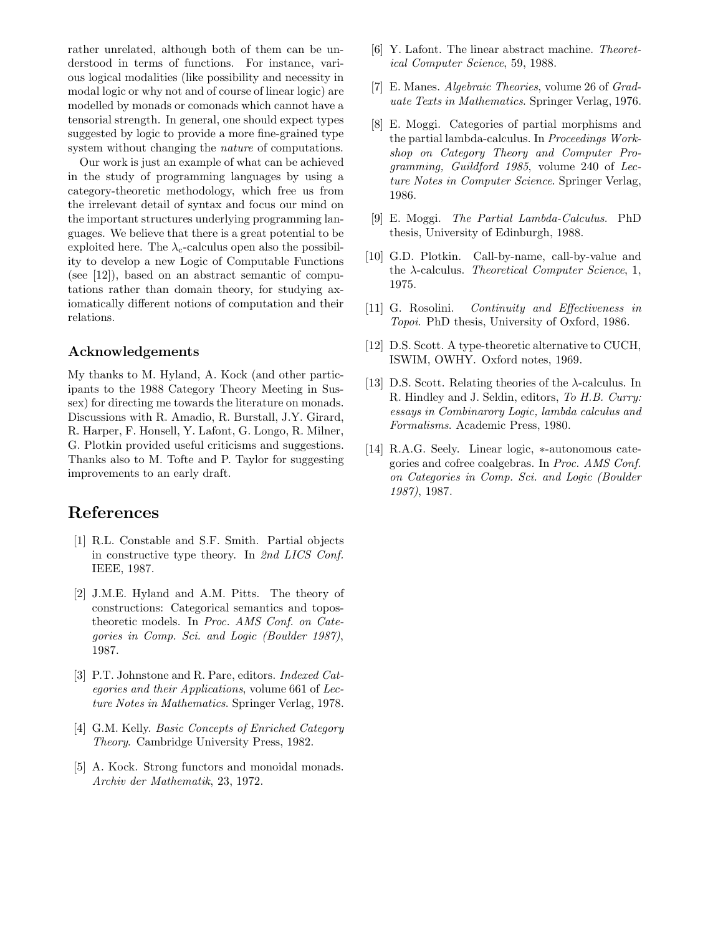rather unrelated, although both of them can be understood in terms of functions. For instance, various logical modalities (like possibility and necessity in modal logic or why not and of course of linear logic) are modelled by monads or comonads which cannot have a tensorial strength. In general, one should expect types suggested by logic to provide a more fine-grained type system without changing the *nature* of computations.

Our work is just an example of what can be achieved in the study of programming languages by using a category-theoretic methodology, which free us from the irrelevant detail of syntax and focus our mind on the important structures underlying programming languages. We believe that there is a great potential to be exploited here. The  $\lambda_c$ -calculus open also the possibility to develop a new Logic of Computable Functions (see [12]), based on an abstract semantic of computations rather than domain theory, for studying axiomatically different notions of computation and their relations.

### Acknowledgements

My thanks to M. Hyland, A. Kock (and other participants to the 1988 Category Theory Meeting in Sussex) for directing me towards the literature on monads. Discussions with R. Amadio, R. Burstall, J.Y. Girard, R. Harper, F. Honsell, Y. Lafont, G. Longo, R. Milner, G. Plotkin provided useful criticisms and suggestions. Thanks also to M. Tofte and P. Taylor for suggesting improvements to an early draft.

## References

- [1] R.L. Constable and S.F. Smith. Partial objects in constructive type theory. In 2nd LICS Conf. IEEE, 1987.
- [2] J.M.E. Hyland and A.M. Pitts. The theory of constructions: Categorical semantics and topostheoretic models. In Proc. AMS Conf. on Categories in Comp. Sci. and Logic (Boulder 1987), 1987.
- [3] P.T. Johnstone and R. Pare, editors. Indexed Categories and their Applications, volume 661 of Lecture Notes in Mathematics. Springer Verlag, 1978.
- [4] G.M. Kelly. Basic Concepts of Enriched Category Theory. Cambridge University Press, 1982.
- [5] A. Kock. Strong functors and monoidal monads. Archiv der Mathematik, 23, 1972.
- [6] Y. Lafont. The linear abstract machine. Theoretical Computer Science, 59, 1988.
- [7] E. Manes. Algebraic Theories, volume 26 of Graduate Texts in Mathematics. Springer Verlag, 1976.
- [8] E. Moggi. Categories of partial morphisms and the partial lambda-calculus. In Proceedings Workshop on Category Theory and Computer Programming, Guildford 1985, volume 240 of Lecture Notes in Computer Science. Springer Verlag, 1986.
- [9] E. Moggi. The Partial Lambda-Calculus. PhD thesis, University of Edinburgh, 1988.
- [10] G.D. Plotkin. Call-by-name, call-by-value and the  $\lambda$ -calculus. Theoretical Computer Science, 1, 1975.
- [11] G. Rosolini. Continuity and Effectiveness in Topoi. PhD thesis, University of Oxford, 1986.
- [12] D.S. Scott. A type-theoretic alternative to CUCH, ISWIM, OWHY. Oxford notes, 1969.
- [13] D.S. Scott. Relating theories of the λ-calculus. In R. Hindley and J. Seldin, editors, To H.B. Curry: essays in Combinarory Logic, lambda calculus and Formalisms. Academic Press, 1980.
- [14] R.A.G. Seely. Linear logic, ∗-autonomous categories and cofree coalgebras. In Proc. AMS Conf. on Categories in Comp. Sci. and Logic (Boulder 1987), 1987.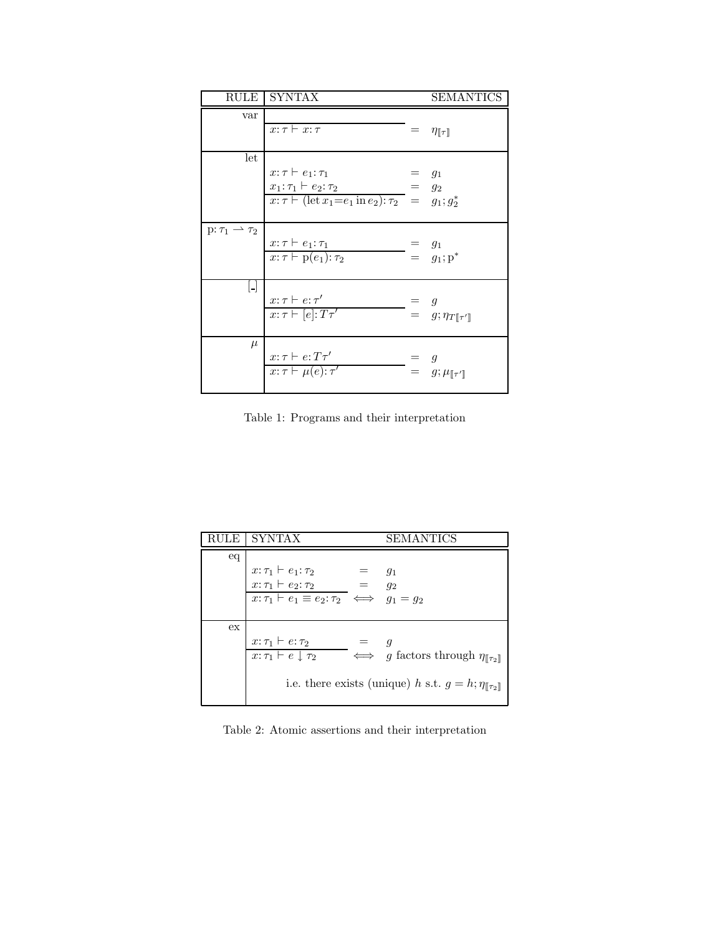| RULE                           | <b>SYNTAX</b>                                                                                                                                     | <b>SEMANTICS</b>                                                                            |
|--------------------------------|---------------------------------------------------------------------------------------------------------------------------------------------------|---------------------------------------------------------------------------------------------|
| var                            | $x:\tau \vdash x:\tau$                                                                                                                            | $=$ $\eta_{\llbracket \tau \rrbracket}$                                                     |
| let                            | $x: \tau \vdash e_1: \tau_1$<br>$x_1: \tau_1 \vdash e_2: \tau_2$<br>$x: \tau \vdash (\text{let } x_1 = e_1 \text{ in } e_2): \tau_2 = g_1; g_2^*$ | $g_1$<br>$= g_2$                                                                            |
| $p: \tau_1 \rightarrow \tau_2$ | $x:\tau\vdash e_1:\tau_1$<br>$x: \tau \vdash p(e_1): \tau_2$                                                                                      | $\begin{array}{rcl} \mathsf{p} & = & g_1 \\ \mathsf{p} & = & g_1; \mathsf{p}^* \end{array}$ |
| Ы                              | $x: \tau \vdash e: \tau'$<br>$x:\tau\vdash [e]:T\tau'$                                                                                            | = $g$<br>= $g; \eta_{T[\![\tau']\!]}$                                                       |
| $\mu$                          | $x: \tau \vdash e: T\tau'$<br>$x: \tau \vdash \mu(e): \tau'$                                                                                      | $\begin{array}{lll} = & g \\ = & g ; \mu_{[\![\tau'\!]}\end{array}$                         |

Table 1: Programs and their interpretation

| ПE | <b>SYNTAX</b>                                                                                            |  | SEMANTICS                                                                 |  |
|----|----------------------------------------------------------------------------------------------------------|--|---------------------------------------------------------------------------|--|
| eq |                                                                                                          |  |                                                                           |  |
|    | $\begin{aligned} x{:}\,\tau_1 \vdash e_1{:}\,\tau_2 \\ x{:}\,\tau_1 \vdash e_2{:}\,\tau_2 \end{aligned}$ |  | $g_1$                                                                     |  |
|    |                                                                                                          |  | $q_2$                                                                     |  |
|    | $x: \tau_1 \vdash e_1 \equiv e_2: \tau_2 \iff g_1 = g_2$                                                 |  |                                                                           |  |
|    |                                                                                                          |  |                                                                           |  |
| ex |                                                                                                          |  |                                                                           |  |
|    | $x: \tau_1 \vdash e: \tau_2$                                                                             |  |                                                                           |  |
|    | $x: \tau_1 \vdash e \downarrow \tau_2$                                                                   |  | $\longrightarrow$ g factors through $\eta_{\llbracket \tau_2 \rrbracket}$ |  |
|    |                                                                                                          |  |                                                                           |  |
|    | i.e. there exists (unique) h s.t. $g = h; \eta_{\llbracket \tau_2 \rrbracket}$                           |  |                                                                           |  |
|    |                                                                                                          |  |                                                                           |  |

Table 2: Atomic assertions and their interpretation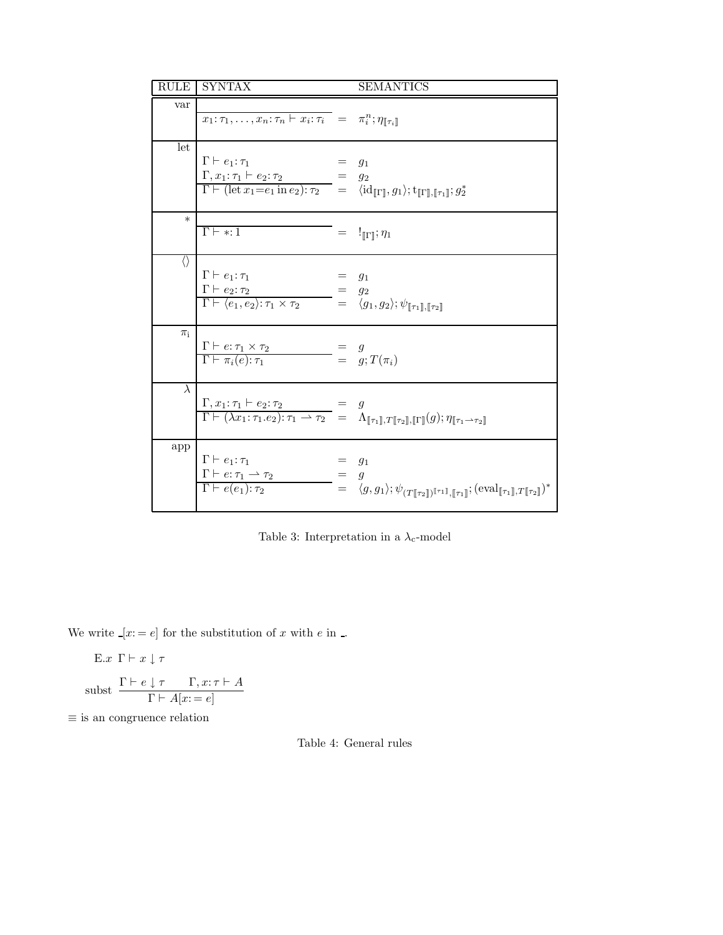| RULE              | <b>SYNTAX</b>                                                                                                                                                                                                                                                                                                    |     | <b>SEMANTICS</b>                                                                                                                                                                                                                                                                                                                       |
|-------------------|------------------------------------------------------------------------------------------------------------------------------------------------------------------------------------------------------------------------------------------------------------------------------------------------------------------|-----|----------------------------------------------------------------------------------------------------------------------------------------------------------------------------------------------------------------------------------------------------------------------------------------------------------------------------------------|
| var               | $\overline{x_1:\tau_1},\ldots,\overline{x_n:\tau_n \vdash x_i:\tau_i} = \tau_i^n; \eta_{\llbracket \tau_i \rrbracket}$                                                                                                                                                                                           |     |                                                                                                                                                                                                                                                                                                                                        |
| let               | $\Gamma \vdash e_1 : \tau_1$<br>$\Gamma, x_1: \tau_1 \vdash e_2: \tau_2 =$<br>$\overline{\Gamma \vdash (\mathrm{let } x_1 = e_1 \mathrm{ in } e_2) : \tau_2} = \langle \mathrm{id}_{\llbracket \Gamma \rrbracket}, g_1 \rangle; \mathrm{t}_{\llbracket \Gamma \rrbracket, \llbracket \tau_1 \rrbracket} ; g_2^*$ |     | $g_1$<br>$q_2$                                                                                                                                                                                                                                                                                                                         |
| $\ast$            | $\Gamma \vdash * : 1$                                                                                                                                                                                                                                                                                            |     | $=$ $\mathbb{I}_{\llbracket \Gamma \rrbracket}; \eta_1$                                                                                                                                                                                                                                                                                |
| $\langle \rangle$ | $\Gamma \vdash e_1 : \tau_1$<br>$\Gamma \vdash e_2 : \tau_2$<br>$\overline{\Gamma \vdash \langle e_1, e_2 \rangle : \tau_1 \times \tau_2} = \langle g_1, g_2 \rangle; \psi_{\llbracket \tau_1 \rrbracket, \llbracket \tau_2 \rrbracket}$                                                                         |     | $g_1$<br>$g_2$                                                                                                                                                                                                                                                                                                                         |
| $\pi_i$           | $\frac{\Gamma \vdash e : \tau_1 \times \tau_2}{\Gamma \vdash \pi_i(e) : \tau_1}$                                                                                                                                                                                                                                 |     | $\begin{array}{rcl} \n & = & g \\ \n & = & g; T(\pi_i) \n\end{array}$                                                                                                                                                                                                                                                                  |
| $\lambda$         |                                                                                                                                                                                                                                                                                                                  |     | $\begin{array}{lcl} \Gamma, x_1 \mathpunct{:}\tau_1 \vdash e_2 \mathpunct{:}\tau_2 & = & g \\ \Gamma \vdash (\lambda x_1 \mathpunct{:}\tau_1.e_2) \mathpunct{:}\tau_1 \rightharpoonup \tau_2 & = & \Lambda_{[\![\tau_1]\!], T[\![\tau_2]\!], [\![\Gamma]\!]}(g) \mathpunct{:}\eta_{[\![\tau_1 \rightharpoonup \tau_2]\!]} \end{array}$ |
| app               | $\Gamma \vdash e_1 : \tau_1$<br>$\Gamma \vdash e{:}\tau_1 \rightharpoonup \tau_2$<br>$\Gamma \vdash e(e_1): \tau_2$                                                                                                                                                                                              | $=$ | $g_1$<br>$\mathfrak{g}$<br>$= \langle g, g_1 \rangle; \psi_{(T[\![\tau_2]\!])^{[\![\tau_1]\!]} , [\![\tau_1]\!]}; (\mathrm{eval}_{[\![\tau_1]\!], T[\![\tau_2]\!]} )^*$                                                                                                                                                                |

Table 3: Interpretation in a  $\lambda_{\rm c}\textrm{-model}$ 

We write  $\textcolor{black}{.}[x; = e]$  for the substitution of  $x$  with  $e$  in  $\textcolor{black}{.}$ 

$$
E.x \Gamma \vdash x \downarrow \tau
$$

$$
subst \ \frac{\Gamma \vdash e \downarrow \tau \quad \Gamma, x: \tau \vdash A}{\Gamma \vdash A[x := e]}
$$

 $\equiv$  is an congruence relation

Table 4: General rules